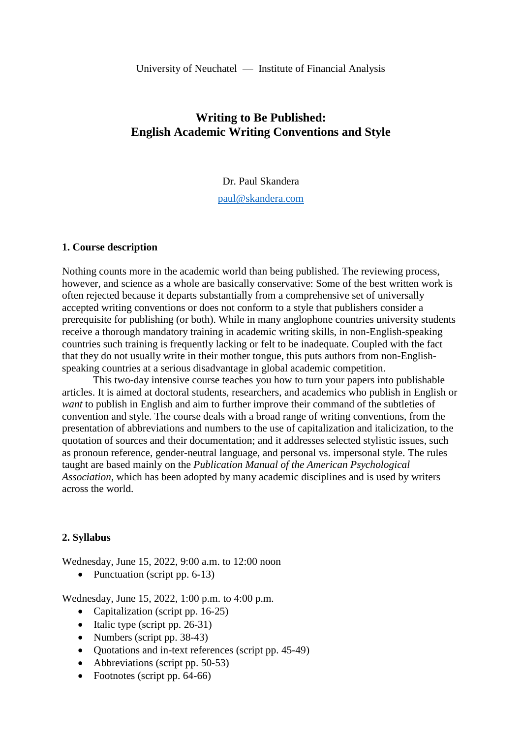# **Writing to Be Published: English Academic Writing Conventions and Style**

Dr. Paul Skandera

[paul@skandera.com](mailto:paul@skandera.com)

#### **1. Course description**

Nothing counts more in the academic world than being published. The reviewing process, however, and science as a whole are basically conservative: Some of the best written work is often rejected because it departs substantially from a comprehensive set of universally accepted writing conventions or does not conform to a style that publishers consider a prerequisite for publishing (or both). While in many anglophone countries university students receive a thorough mandatory training in academic writing skills, in non-English-speaking countries such training is frequently lacking or felt to be inadequate. Coupled with the fact that they do not usually write in their mother tongue, this puts authors from non-Englishspeaking countries at a serious disadvantage in global academic competition.

This two-day intensive course teaches you how to turn your papers into publishable articles. It is aimed at doctoral students, researchers, and academics who publish in English or *want* to publish in English and aim to further improve their command of the subtleties of convention and style. The course deals with a broad range of writing conventions, from the presentation of abbreviations and numbers to the use of capitalization and italicization, to the quotation of sources and their documentation; and it addresses selected stylistic issues, such as pronoun reference, gender-neutral language, and personal vs. impersonal style. The rules taught are based mainly on the *Publication Manual of the American Psychological Association*, which has been adopted by many academic disciplines and is used by writers across the world.

### **2. Syllabus**

Wednesday, June 15, 2022, 9:00 a.m. to 12:00 noon

• Punctuation (script pp. 6-13)

Wednesday, June 15, 2022, 1:00 p.m. to 4:00 p.m.

- Capitalization (script pp. 16-25)
- Italic type (script pp.  $26-31$ )
- Numbers (script pp. 38-43)
- Quotations and in-text references (script pp. 45-49)
- Abbreviations (script pp. 50-53)
- Footnotes (script pp. 64-66)